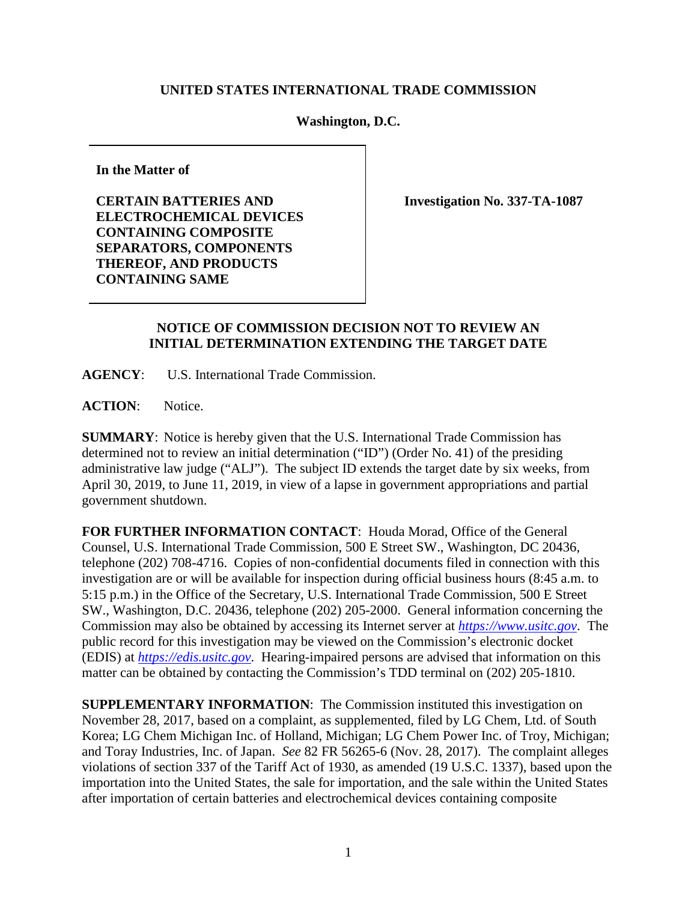## **UNITED STATES INTERNATIONAL TRADE COMMISSION**

## **Washington, D.C.**

**In the Matter of**

**CERTAIN BATTERIES AND ELECTROCHEMICAL DEVICES CONTAINING COMPOSITE SEPARATORS, COMPONENTS THEREOF, AND PRODUCTS CONTAINING SAME**

**Investigation No. 337-TA-1087**

## **NOTICE OF COMMISSION DECISION NOT TO REVIEW AN INITIAL DETERMINATION EXTENDING THE TARGET DATE**

**AGENCY**: U.S. International Trade Commission.

**ACTION**: Notice.

**SUMMARY**: Notice is hereby given that the U.S. International Trade Commission has determined not to review an initial determination ("ID") (Order No. 41) of the presiding administrative law judge ("ALJ"). The subject ID extends the target date by six weeks, from April 30, 2019, to June 11, 2019, in view of a lapse in government appropriations and partial government shutdown.

**FOR FURTHER INFORMATION CONTACT**: Houda Morad, Office of the General Counsel, U.S. International Trade Commission, 500 E Street SW., Washington, DC 20436, telephone (202) 708-4716. Copies of non-confidential documents filed in connection with this investigation are or will be available for inspection during official business hours (8:45 a.m. to 5:15 p.m.) in the Office of the Secretary, U.S. International Trade Commission, 500 E Street SW., Washington, D.C. 20436, telephone (202) 205-2000. General information concerning the Commission may also be obtained by accessing its Internet server at *[https://www.usitc.gov](https://www.usitc.gov/)*. The public record for this investigation may be viewed on the Commission's electronic docket (EDIS) at *[https://edis.usitc.gov](http://edis.usitc.gov/)*. Hearing-impaired persons are advised that information on this matter can be obtained by contacting the Commission's TDD terminal on (202) 205-1810.

**SUPPLEMENTARY INFORMATION**: The Commission instituted this investigation on November 28, 2017, based on a complaint, as supplemented, filed by LG Chem, Ltd. of South Korea; LG Chem Michigan Inc. of Holland, Michigan; LG Chem Power Inc. of Troy, Michigan; and Toray Industries, Inc. of Japan. *See* 82 FR 56265-6 (Nov. 28, 2017). The complaint alleges violations of section 337 of the Tariff Act of 1930, as amended (19 U.S.C. 1337), based upon the importation into the United States, the sale for importation, and the sale within the United States after importation of certain batteries and electrochemical devices containing composite